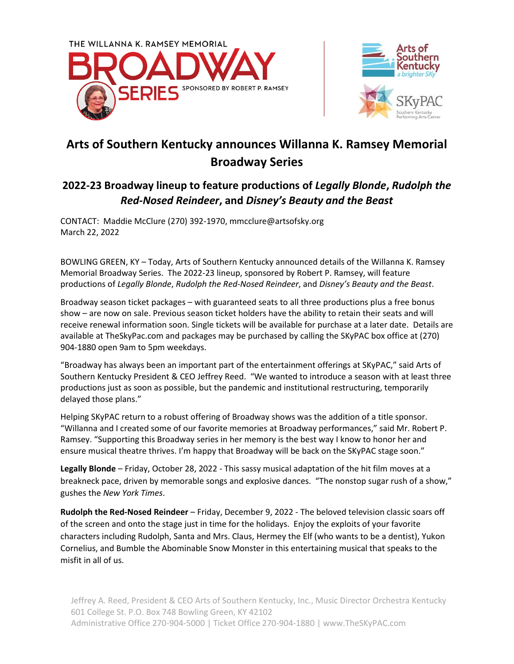



## **Arts of Southern Kentucky announces Willanna K. Ramsey Memorial Broadway Series**

## **2022-23 Broadway lineup to feature productions of** *Legally Blonde***,** *Rudolph the Red-Nosed Reindeer***, and** *Disney's Beauty and the Beast*

CONTACT: Maddie McClure (270) 392-1970, mmcclure@artsofsky.org March 22, 2022

BOWLING GREEN, KY – Today, Arts of Southern Kentucky announced details of the Willanna K. Ramsey Memorial Broadway Series. The 2022-23 lineup, sponsored by Robert P. Ramsey, will feature productions of *Legally Blonde*, *Rudolph the Red-Nosed Reindeer*, and *Disney's Beauty and the Beast*.

Broadway season ticket packages – with guaranteed seats to all three productions plus a free bonus show – are now on sale. Previous season ticket holders have the ability to retain their seats and will receive renewal information soon. Single tickets will be available for purchase at a later date. Details are available at TheSkyPac.com and packages may be purchased by calling the SKyPAC box office at (270) 904-1880 open 9am to 5pm weekdays.

"Broadway has always been an important part of the entertainment offerings at SKyPAC," said Arts of Southern Kentucky President & CEO Jeffrey Reed. "We wanted to introduce a season with at least three productions just as soon as possible, but the pandemic and institutional restructuring, temporarily delayed those plans."

Helping SKyPAC return to a robust offering of Broadway shows was the addition of a title sponsor. "Willanna and I created some of our favorite memories at Broadway performances," said Mr. Robert P. Ramsey. "Supporting this Broadway series in her memory is the best way I know to honor her and ensure musical theatre thrives. I'm happy that Broadway will be back on the SKyPAC stage soon."

**Legally Blonde** – Friday, October 28, 2022 - This sassy musical adaptation of the hit film moves at a breakneck pace, driven by memorable songs and explosive dances. "The nonstop sugar rush of a show," gushes the *New York Times*.

**Rudolph the Red-Nosed Reindeer** – Friday, December 9, 2022 - The beloved television classic soars off of the screen and onto the stage just in time for the holidays. Enjoy the exploits of your favorite characters including Rudolph, Santa and Mrs. Claus, Hermey the Elf (who wants to be a dentist), Yukon Cornelius, and Bumble the Abominable Snow Monster in this entertaining musical that speaks to the misfit in all of us.

 Jeffrey A. Reed, President & CEO Arts of Southern Kentucky, Inc., Music Director Orchestra Kentucky 601 College St. P.O. Box 748 Bowling Green, KY 42102 Administrative Office 270-904-5000 | Ticket Office 270-904-1880 | www.TheSKyPAC.com